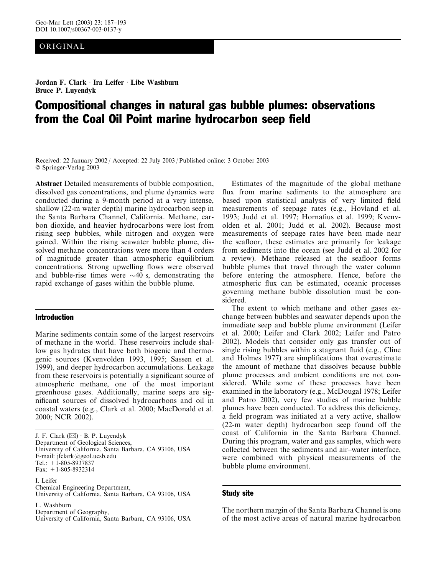## ORIGINAL

Jordan F. Clark · Ira Leifer · Libe Washburn Bruce P. Luyendyk

# Compositional changes in natural gas bubble plumes: observations from the Coal Oil Point marine hydrocarbon seep field

Received: 22 January 2002 / Accepted: 22 July 2003 / Published online: 3 October 2003 Springer-Verlag 2003

Abstract Detailed measurements of bubble composition, dissolved gas concentrations, and plume dynamics were conducted during a 9-month period at a very intense, shallow (22-m water depth) marine hydrocarbon seep in the Santa Barbara Channel, California. Methane, carbon dioxide, and heavier hydrocarbons were lost from rising seep bubbles, while nitrogen and oxygen were gained. Within the rising seawater bubble plume, dissolved methane concentrations were more than 4 orders of magnitude greater than atmospheric equilibrium concentrations. Strong upwelling flows were observed and bubble-rise times were  $\sim$ 40 s, demonstrating the rapid exchange of gases within the bubble plume.

#### Introduction

Marine sediments contain some of the largest reservoirs of methane in the world. These reservoirs include shallow gas hydrates that have both biogenic and thermogenic sources (Kvenvolden 1993, 1995; Sassen et al. 1999), and deeper hydrocarbon accumulations. Leakage from these reservoirs is potentially a significant source of atmospheric methane, one of the most important greenhouse gases. Additionally, marine seeps are significant sources of dissolved hydrocarbons and oil in coastal waters (e.g., Clark et al. 2000; MacDonald et al. 2000; NCR 2002).

I. Leifer Chemical Engineering Department, University of California, Santa Barbara, CA 93106, USA

L. Washburn Department of Geography,

University of California, Santa Barbara, CA 93106, USA

Estimates of the magnitude of the global methane flux from marine sediments to the atmosphere are based upon statistical analysis of very limited field measurements of seepage rates (e.g., Hovland et al. 1993; Judd et al. 1997; Hornafius et al. 1999; Kvenvolden et al. 2001; Judd et al. 2002). Because most measurements of seepage rates have been made near the seafloor, these estimates are primarily for leakage from sediments into the ocean (see Judd et al. 2002 for a review). Methane released at the seafloor forms bubble plumes that travel through the water column before entering the atmosphere. Hence, before the atmospheric flux can be estimated, oceanic processes governing methane bubble dissolution must be considered.

The extent to which methane and other gases exchange between bubbles and seawater depends upon the immediate seep and bubble plume environment (Leifer et al. 2000; Leifer and Clark 2002; Leifer and Patro 2002). Models that consider only gas transfer out of single rising bubbles within a stagnant fluid (e.g., Cline and Holmes 1977) are simplifications that overestimate the amount of methane that dissolves because bubble plume processes and ambient conditions are not considered. While some of these processes have been examined in the laboratory (e.g., McDougal 1978; Leifer and Patro 2002), very few studies of marine bubble plumes have been conducted. To address this deficiency, a field program was initiated at a very active, shallow (22-m water depth) hydrocarbon seep found off the coast of California in the Santa Barbara Channel. During this program, water and gas samples, which were collected between the sediments and air–water interface, were combined with physical measurements of the bubble plume environment.

#### Study site

The northern margin of the Santa Barbara Channel is one of the most active areas of natural marine hydrocarbon

J. F. Clark  $(\boxtimes) \cdot$  B. P. Luyendyk Department of Geological Sciences, University of California, Santa Barbara, CA 93106, USA E-mail: jfclark@geol.ucsb.edu Tel.: +1-805-8937837 Fax: +1-805-8932314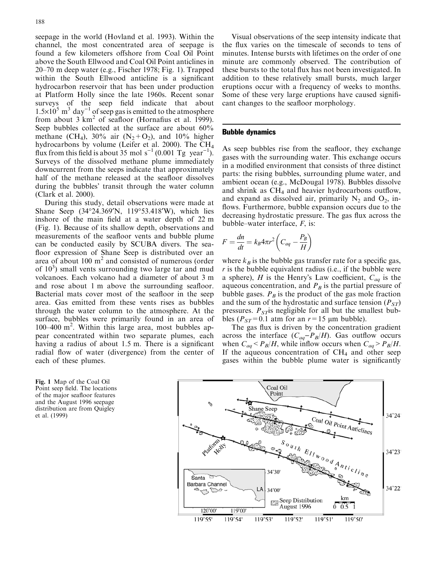seepage in the world (Hovland et al. 1993). Within the channel, the most concentrated area of seepage is found a few kilometers offshore from Coal Oil Point above the South Ellwood and Coal Oil Point anticlines in 20–70 m deep water (e.g., Fischer 1978; Fig. 1). Trapped within the South Ellwood anticline is a significant hydrocarbon reservoir that has been under production at Platform Holly since the late 1960s. Recent sonar surveys of the seep field indicate that about  $1.5\times10^{5}$  m<sup>3</sup> day<sup>-1</sup> of seep gas is emitted to the atmosphere from about  $3 \text{ km}^2$  of seafloor (Hornafius et al. 1999). Seep bubbles collected at the surface are about  $60\%$ methane (CH<sub>4</sub>), 30% air (N<sub>2</sub>+O<sub>2</sub>), and 10% higher hydrocarbons by volume (Leifer et al. 2000). The CH4 flux from this field is about 35 mol  $s^{-1}$  (0.001 Tg year<sup>-1</sup>). Surveys of the dissolved methane plume immediately downcurrent from the seeps indicate that approximately half of the methane released at the seafloor dissolves during the bubbles' transit through the water column (Clark et al. 2000).

During this study, detail observations were made at Shane Seep (34°24.369'N, 119°53.418'W), which lies inshore of the main field at a water depth of 22 m (Fig. 1). Because of its shallow depth, observations and measurements of the seafloor vents and bubble plume can be conducted easily by SCUBA divers. The seafloor expression of Shane Seep is distributed over an area of about  $100 \text{ m}^2$  and consisted of numerous (order of  $10<sup>3</sup>$ ) small vents surrounding two large tar and mud volcanoes. Each volcano had a diameter of about 3 m and rose about 1 m above the surrounding seafloor. Bacterial mats cover most of the seafloor in the seep area. Gas emitted from these vents rises as bubbles through the water column to the atmosphere. At the surface, bubbles were primarily found in an area of 100–400 m<sup>2</sup> . Within this large area, most bubbles appear concentrated within two separate plumes, each having a radius of about 1.5 m. There is a significant radial flow of water (divergence) from the center of each of these plumes.

Fig. 1 Map of the Coal Oil Point seep field. The locations of the major seafloor features and the August 1996 seepage distribution are from Quigley et al. (1999)

Visual observations of the seep intensity indicate that the flux varies on the timescale of seconds to tens of minutes. Intense bursts with lifetimes on the order of one minute are commonly observed. The contribution of these bursts to the total flux has not been investigated. In addition to these relatively small bursts, much larger eruptions occur with a frequency of weeks to months. Some of these very large eruptions have caused significant changes to the seafloor morphology.

#### Bubble dynamics

As seep bubbles rise from the seafloor, they exchange gases with the surrounding water. This exchange occurs in a modified environment that consists of three distinct parts: the rising bubbles, surrounding plume water, and ambient ocean (e.g., McDougal 1978). Bubbles dissolve and shrink as CH<sub>4</sub> and heavier hydrocarbons outflow, and expand as dissolved air, primarily  $N_2$  and  $O_2$ , inflows. Furthermore, bubble expansion occurs due to the decreasing hydrostatic pressure. The gas flux across the bubble–water interface,  $F$ , is:

$$
F = \frac{dn}{dt} = k_B 4\pi r^2 \left( C_{aq} - \frac{P_B}{H} \right)
$$

where  $k_B$  is the bubble gas transfer rate for a specific gas,  $r$  is the bubble equivalent radius (i.e., if the bubble were a sphere), H is the Henry's Law coefficient,  $C_{aq}$  is the aqueous concentration, and  $P_B$  is the partial pressure of bubble gases.  $P_B$  is the product of the gas mole fraction and the sum of the hydrostatic and surface tension  $(P_{ST})$ pressures.  $P_{ST}$  is negligible for all but the smallest bubbles ( $P_{ST}$ =0.1 atm for an  $r=15$  µm bubble).

The gas flux is driven by the concentration gradient across the interface  $(C_{aq} - P_B/H)$ . Gas outflow occurs when  $C_{aq} < P_B/H$ , while inflow occurs when  $C_{aq} > P_B/H$ . If the aqueous concentration of  $CH_4$  and other seep gases within the bubble plume water is significantly

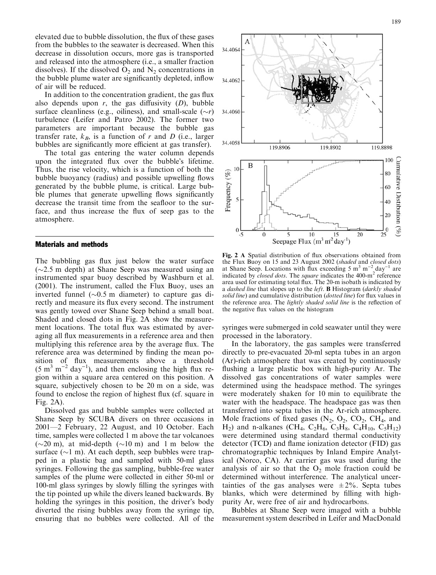elevated due to bubble dissolution, the flux of these gases from the bubbles to the seawater is decreased. When this decrease in dissolution occurs, more gas is transported and released into the atmosphere (i.e., a smaller fraction dissolves). If the dissolved  $O_2$  and  $N_2$  concentrations in the bubble plume water are significantly depleted, inflow of air will be reduced.

In addition to the concentration gradient, the gas flux also depends upon  $r$ , the gas diffusivity  $(D)$ , bubble surface cleanliness (e.g., oiliness), and small-scale  $(\sim r)$ turbulence (Leifer and Patro 2002). The former two parameters are important because the bubble gas transfer rate,  $k_B$ , is a function of r and D (i.e., larger bubbles are significantly more efficient at gas transfer).

The total gas entering the water column depends upon the integrated flux over the bubble's lifetime. Thus, the rise velocity, which is a function of both the bubble buoyancy (radius) and possible upwelling flows generated by the bubble plume, is critical. Large bubble plumes that generate upwelling flows significantly decrease the transit time from the seafloor to the surface, and thus increase the flux of seep gas to the atmosphere.

### Materials and methods

The bubbling gas flux just below the water surface  $(\sim 2.5 \text{ m depth})$  at Shane Seep was measured using an instrumented spar buoy described by Washburn et al. (2001). The instrument, called the Flux Buoy, uses an inverted funnel  $(\sim 0.5 \text{ m}$  diameter) to capture gas directly and measure its flux every second. The instrument was gently towed over Shane Seep behind a small boat. Shaded and closed dots in Fig. 2A show the measurement locations. The total flux was estimated by averaging all flux measurements in a reference area and then multiplying this reference area by the average flux. The reference area was determined by finding the mean position of flux measurements above a threshold  $(5 \text{ m}^3 \text{ m}^{-2} \text{ day}^{-1})$ , and then enclosing the high flux region within a square area centered on this position. A square, subjectively chosen to be 20 m on a side, was found to enclose the region of highest flux (cf. square in Fig. 2A).

Dissolved gas and bubble samples were collected at Shane Seep by SCUBA divers on three occasions in 2001—2 February, 22 August, and 10 October. Each time, samples were collected 1 m above the tar volcanoes ( $\sim$ 20 m), at mid-depth ( $\sim$ 10 m) and 1 m below the surface  $(\sim 1 \text{ m})$ . At each depth, seep bubbles were trapped in a plastic bag and sampled with 50-ml glass syringes. Following the gas sampling, bubble-free water samples of the plume were collected in either 50-ml or 100-ml glass syringes by slowly filling the syringes with the tip pointed up while the divers leaned backwards. By holding the syringes in this position, the driver's body diverted the rising bubbles away from the syringe tip, ensuring that no bubbles were collected. All of the



Fig. 2 A Spatial distribution of flux observations obtained from the Flux Buoy on 15 and 23 August 2002 (shaded and closed dots) at Shane Seep. Locations with flux exceeding  $5 \text{ m}^3 \text{ m}^{-2} \text{ day}^{-1}$  are indicated by *closed dots*. The *square* indicates the  $400 \text{--} m^2$  reference area used for estimating total flux. The 20-m isobath is indicated by a dashed line that slopes up to the left. **B** Histogram (darkly shaded solid line) and cumulative distribution (dotted line) for flux values in the reference area. The lightly shaded solid line is the reflection of the negative flux values on the histogram

syringes were submerged in cold seawater until they were processed in the laboratory.

In the laboratory, the gas samples were transferred directly to pre-evacuated 20-ml septa tubes in an argon (Ar)-rich atmosphere that was created by continuously flushing a large plastic box with high-purity Ar. The dissolved gas concentrations of water samples were determined using the headspace method. The syringes were moderately shaken for 10 min to equilibrate the water with the headspace. The headspace gas was then transferred into septa tubes in the Ar-rich atmosphere. Mole fractions of fixed gases  $(N_2, O_2, CO_2, CH_4, and$  $H_2$ ) and n-alkanes (CH<sub>4</sub>, C<sub>2</sub>H<sub>6</sub>, C<sub>3</sub>H<sub>8</sub>, C<sub>4</sub>H<sub>10</sub>, C<sub>5</sub>H<sub>12</sub>) were determined using standard thermal conductivity detector (TCD) and flame ionization detector (FID) gas chromatographic techniques by Inland Empire Analytical (Norco, CA). Ar carrier gas was used during the analysis of air so that the  $O_2$  mole fraction could be determined without interference. The analytical uncertainties of the gas analyses were  $\pm 2\%$ . Septa tubes blanks, which were determined by filling with highpurity Ar, were free of air and hydrocarbons.

Bubbles at Shane Seep were imaged with a bubble measurement system described in Leifer and MacDonald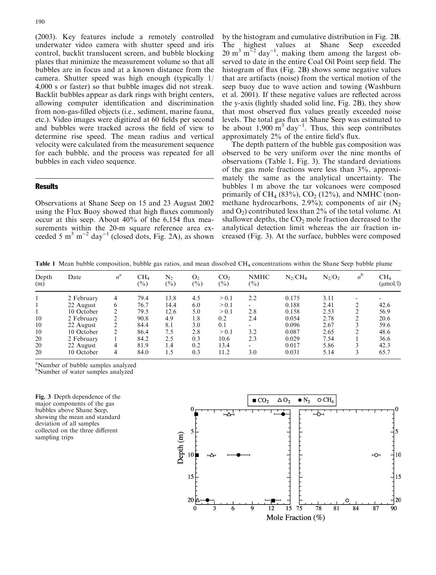(2003). Key features include a remotely controlled underwater video camera with shutter speed and iris control, backlit translucent screen, and bubble blocking plates that minimize the measurement volume so that all bubbles are in focus and at a known distance from the camera. Shutter speed was high enough (typically 1/ 4,000 s or faster) so that bubble images did not streak. Backlit bubbles appear as dark rings with bright centers, allowing computer identification and discrimination from non-gas-filled objects (i.e., sediment, marine fauna, etc.). Video images were digitized at 60 fields per second and bubbles were tracked across the field of view to determine rise speed. The mean radius and vertical velocity were calculated from the measurement sequence for each bubble, and the process was repeated for all bubbles in each video sequence.

#### Results

Observations at Shane Seep on 15 and 23 August 2002 using the Flux Buoy showed that high fluxes commonly occur at this seep. About 40% of the 6,154 flux measurements within the 20-m square reference area exceeded 5 m<sup>3</sup> m<sup>-2</sup> day<sup>-1</sup> (closed dots, Fig. 2A), as shown

by the histogram and cumulative distribution in Fig. 2B. The highest values at Shane Seep exceeded  $20 \text{ m}^3 \text{ m}^{-2}$  day<sup>-1</sup>, making them among the largest observed to date in the entire Coal Oil Point seep field. The histogram of flux (Fig. 2B) shows some negative values that are artifacts (noise) from the vertical motion of the seep buoy due to wave action and towing (Washburn et al. 2001). If these negative values are reflected across the y-axis (lightly shaded solid line, Fig. 2B), they show that most observed flux values greatly exceeded noise levels. The total gas flux at Shane Seep was estimated to be about  $1,900 \text{ m}^3$  day<sup>-1</sup>. Thus, this seep contributes approximately  $2\%$  of the entire field's flux.

The depth pattern of the bubble gas composition was observed to be very uniform over the nine months of observations (Table 1, Fig. 3). The standard deviations of the gas mole fractions were less than 3%, approximately the same as the analytical uncertainty. The bubbles 1 m above the tar volcanoes were composed primarily of CH<sub>4</sub> (83%), CO<sub>2</sub> (12%), and NMHC (nonmethane hydrocarbons, 2.9%); components of air  $(N_2)$ and  $O_2$ ) contributed less than  $2\%$  of the total volume. At shallower depths, the  $CO<sub>2</sub>$  mole fraction decreased to the analytical detection limit whereas the air fraction increased (Fig. 3). At the surface, bubbles were composed

Table 1 Mean bubble composition, bubble gas ratios, and mean dissolved CH<sub>4</sub> concentrations within the Shane Seep bubble plume

| Depth<br>(m) | Date       | $n^{\rm a}$    | CH <sub>4</sub><br>$\binom{0}{0}$ | N,<br>$(\%)$ | O <sub>2</sub><br>(%) | CO <sub>2</sub><br>$(\%)$ | <b>NMHC</b><br>$(\%)$ | $N_2$ /CH <sub>4</sub> | $N_2/O_2$ | $n^{\rm b}$ | CH <sub>4</sub><br>$(\mu \text{mol/l})$ |
|--------------|------------|----------------|-----------------------------------|--------------|-----------------------|---------------------------|-----------------------|------------------------|-----------|-------------|-----------------------------------------|
|              | 2 February | 4              | 79.4                              | 13.8         | 4.5                   | > 0.1                     | 2.2                   | 0.175                  | 3.11      |             |                                         |
|              | 22 August  | 6              | 76.7                              | 14.4         | 6.0                   | > 0.1                     |                       | 0.188                  | 2.41      |             | 42.6                                    |
|              | 10 October | $\overline{2}$ | 79.5                              | 12.6         | 5.0                   | > 0.1                     | 2.8                   | 0.158                  | 2.53      |             | 56.9                                    |
| 10           | 2 February | 2              | 90.8                              | 4.9          | 1.8                   | 0.2                       | 2.4                   | 0.054                  | 2.78      |             | 20.6                                    |
| 10           | 22 August  | 2              | 84.4                              | 8.1          | 3.0                   | 0.1                       |                       | 0.096                  | 2.67      |             | 59.6                                    |
| 10           | 10 October | 2              | 86.4                              | 7.5          | 2.8                   | > 0.1                     | 3.2                   | 0.087                  | 2.65      |             | 48.6                                    |
| 20           | 2 February |                | 84.2                              | 2.5          | 0.3                   | 10.6                      | 2.3                   | 0.029                  | 7.54      |             | 36.6                                    |
| 20           | 22 August  | 4              | 81.9                              | 1.4          | 0.2                   | 13.4                      |                       | 0.017                  | 5.86      |             | 42.3                                    |
| 20           | 10 October | 4              | 84.0                              | 1.5          | 0.3                   | 11.2                      | 3.0                   | 0.031                  | 5.14      |             | 65.7                                    |

<sup>a</sup>Number of bubble samples analyzed b Number of water samples analyzed

Fig. 3 Depth dependence of the major components of the gas bubbles above Shane Seep, showing the mean and standard deviation of all samples collected on the three different sampling trips

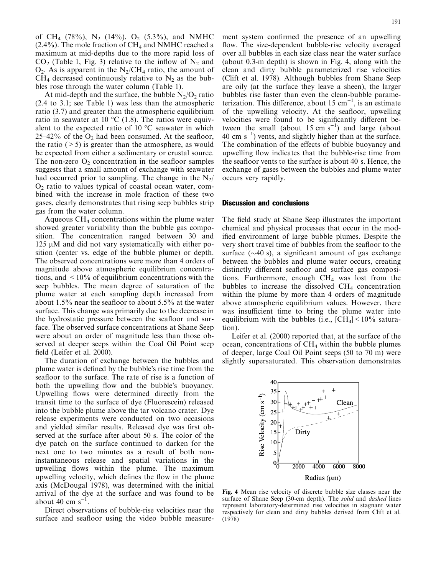of CH<sub>4</sub> (78%), N<sub>2</sub> (14%), O<sub>2</sub> (5.3%), and NMHC  $(2.4\%)$ . The mole fraction of CH<sub>4</sub> and NMHC reached a maximum at mid-depths due to the more rapid loss of  $CO<sub>2</sub>$  (Table 1, Fig. 3) relative to the inflow of  $N<sub>2</sub>$  and  $O_2$ . As is apparent in the N<sub>2</sub>/CH<sub>4</sub> ratio, the amount of  $CH_4$  decreased continuously relative to  $N_2$  as the bubbles rose through the water column (Table 1).

At mid-depth and the surface, the bubble  $N_2/O_2$  ratio (2.4 to 3.1; see Table 1) was less than the atmospheric ratio (3.7) and greater than the atmospheric equilibrium ratio in seawater at 10  $^{\circ}$ C (1.8). The ratios were equivalent to the expected ratio of 10  $\mathrm{^{\circ}C}$  seawater in which 25–42% of the  $O_2$  had been consumed. At the seafloor, the ratio  $(5)$  is greater than the atmosphere, as would be expected from either a sedimentary or crustal source. The non-zero  $O_2$  concentration in the seafloor samples suggests that a small amount of exchange with seawater had occurred prior to sampling. The change in the  $N_2$ /  $O<sub>2</sub>$  ratio to values typical of coastal ocean water, combined with the increase in mole fraction of these two gases, clearly demonstrates that rising seep bubbles strip gas from the water column.

Aqueous  $CH<sub>4</sub>$  concentrations within the plume water showed greater variability than the bubble gas composition. The concentration ranged between 30 and 125  $\mu$ M and did not vary systematically with either position (center vs. edge of the bubble plume) or depth. The observed concentrations were more than 4 orders of magnitude above atmospheric equilibrium concentrations, and  $\leq 10\%$  of equilibrium concentrations with the seep bubbles. The mean degree of saturation of the plume water at each sampling depth increased from about 1.5% near the seafloor to about 5.5% at the water surface. This change was primarily due to the decrease in the hydrostatic pressure between the seafloor and surface. The observed surface concentrations at Shane Seep were about an order of magnitude less than those observed at deeper seeps within the Coal Oil Point seep field (Leifer et al. 2000).

The duration of exchange between the bubbles and plume water is defined by the bubble's rise time from the seafloor to the surface. The rate of rise is a function of both the upwelling flow and the bubble's buoyancy. Upwelling flows were determined directly from the transit time to the surface of dye (Fluorescein) released into the bubble plume above the tar volcano crater. Dye release experiments were conducted on two occasions and yielded similar results. Released dye was first observed at the surface after about 50 s. The color of the dye patch on the surface continued to darken for the next one to two minutes as a result of both noninstantaneous release and spatial variations in the upwelling flows within the plume. The maximum upwelling velocity, which defines the flow in the plume axis (McDougal 1978), was determined with the initial arrival of the dye at the surface and was found to be about 40 cm  $s^{-1}$ .

Direct observations of bubble-rise velocities near the surface and seafloor using the video bubble measure-

ment system confirmed the presence of an upwelling flow. The size-dependent bubble-rise velocity averaged over all bubbles in each size class near the water surface (about 0.3-m depth) is shown in Fig. 4, along with the clean and dirty bubble parameterized rise velocities (Clift et al. 1978). Although bubbles from Shane Seep are oily (at the surface they leave a sheen), the larger bubbles rise faster than even the clean-bubble parameterization. This difference, about 15  $cm^{-1}$ , is an estimate of the upwelling velocity. At the seafloor, upwelling velocities were found to be significantly different between the small (about 15 cm  $s^{-1}$ ) and large (about  $40 \text{ cm s}^{-1}$ ) vents, and slightly higher than at the surface. The combination of the effects of bubble buoyancy and upwelling flow indicates that the bubble-rise time from the seafloor vents to the surface is about 40 s. Hence, the exchange of gases between the bubbles and plume water occurs very rapidly.

#### Discussion and conclusions

The field study at Shane Seep illustrates the important chemical and physical processes that occur in the modified environment of large bubble plumes. Despite the very short travel time of bubbles from the seafloor to the surface  $(\sim 40 \text{ s})$ , a significant amount of gas exchange between the bubbles and plume water occurs, creating distinctly different seafloor and surface gas compositions. Furthermore, enough  $CH<sub>4</sub>$  was lost from the bubbles to increase the dissolved  $CH<sub>4</sub>$  concentration within the plume by more than 4 orders of magnitude above atmospheric equilibrium values. However, there was insufficient time to bring the plume water into equilibrium with the bubbles (i.e.,  $\text{[CH}_4]$  < 10% saturation).

Leifer et al. (2000) reported that, at the surface of the ocean, concentrations of  $CH<sub>4</sub>$  within the bubble plumes of deeper, large Coal Oil Point seeps (50 to 70 m) were slightly supersaturated. This observation demonstrates



Fig. 4 Mean rise velocity of discrete bubble size classes near the surface of Shane Seep (30-cm depth). The solid and dashed lines represent laboratory-determined rise velocities in stagnant water respectively for clean and dirty bubbles derived from Clift et al. (1978)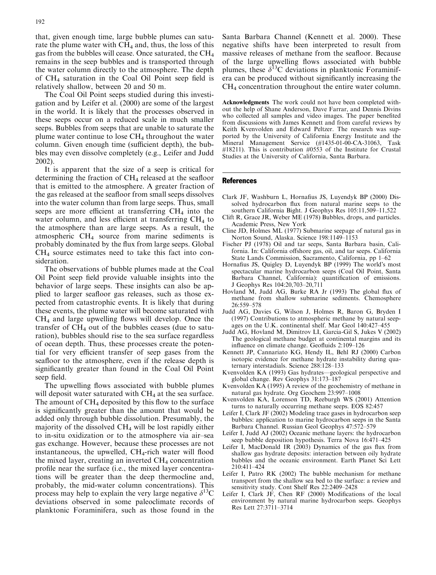that, given enough time, large bubble plumes can saturate the plume water with  $CH_4$  and, thus, the loss of this gas from the bubbles will cease. Once saturated, the  $CH<sub>4</sub>$ remains in the seep bubbles and is transported through the water column directly to the atmosphere. The depth of CH4 saturation in the Coal Oil Point seep field is

relatively shallow, between 20 and 50 m. The Coal Oil Point seeps studied during this investigation and by Leifer et al. (2000) are some of the largest in the world. It is likely that the processes observed in these seeps occur on a reduced scale in much smaller seeps. Bubbles from seeps that are unable to saturate the plume water continue to lose  $CH<sub>4</sub>$  throughout the water column. Given enough time (sufficient depth), the bubbles may even dissolve completely (e.g., Leifer and Judd 2002).

It is apparent that the size of a seep is critical for determining the fraction of CH4 released at the seafloor that is emitted to the atmosphere. A greater fraction of the gas released at the seafloor from small seeps dissolves into the water column than from large seeps. Thus, small seeps are more efficient at transferring  $CH<sub>4</sub>$  into the water column, and less efficient at transferring  $CH_4$  to the atmosphere than are large seeps. As a result, the atmospheric CH4 source from marine sediments is probably dominated by the flux from large seeps. Global  $CH<sub>4</sub>$  source estimates need to take this fact into consideration.

The observations of bubble plumes made at the Coal Oil Point seep field provide valuable insights into the behavior of large seeps. These insights can also be applied to larger seafloor gas releases, such as those expected from catastrophic events. It is likely that during these events, the plume water will become saturated with CH4 and large upwelling flows will develop. Once the transfer of  $CH_4$  out of the bubbles ceases (due to saturation), bubbles should rise to the sea surface regardless of ocean depth. Thus, these processes create the potential for very efficient transfer of seep gases from the seafloor to the atmosphere, even if the release depth is significantly greater than found in the Coal Oil Point seep field.

The upwelling flows associated with bubble plumes will deposit water saturated with  $CH<sub>4</sub>$  at the sea surface. The amount of  $CH_4$  deposited by this flow to the surface is significantly greater than the amount that would be added only through bubble dissolution. Presumably, the majority of the dissolved  $CH_4$  will be lost rapidly either to in-situ oxidization or to the atmosphere via air–sea gas exchange. However, because these processes are not instantaneous, the upwelled,  $CH<sub>4</sub>$ -rich water will flood the mixed layer, creating an inverted  $CH<sub>4</sub>$  concentration profile near the surface (i.e., the mixed layer concentrations will be greater than the deep thermocline and, probably, the mid-water column concentrations). This process may help to explain the very large negative  $\delta^{13}C$ deviations observed in some paleoclimate records of planktonic Foraminifera, such as those found in the

Santa Barbara Channel (Kennett et al. 2000). These negative shifts have been interpreted to result from massive releases of methane from the seafloor. Because of the large upwelling flows associated with bubble plumes, these  $\delta^{13}$ C deviations in planktonic Foraminifera can be produced without significantly increasing the CH4 concentration throughout the entire water column.

Acknowledgments The work could not have been completed without the help of Shane Anderson, Dave Farrar, and Dennis Divins who collected all samples and video images. The paper benefited from discussions with James Kennett and from careful reviews by Keith Kvenvolden and Edward Peltzer. The research was supported by the University of California Energy Institute and the Mineral Management Service (#1435-01-00-CA-31063, Task #18211). This is contribution #0553 of the Institute for Crustal Studies at the University of California, Santa Barbara.

#### References

- Clark JF, Washburn L, Hornafius JS, Luyendyk BP (2000) Dissolved hydrocarbon flux from natural marine seeps to the southern California Bight. J Geophys Res 105:11,509–11,522
- Clift R, Grace JR, Weber ME (1978) Bubbles, drops, and particles. Academic Press, New York
- Cline JD, Holmes ML (1977) Submarine seepage of natural gas in Norton Sound, Alaska. Science 198:1149–1153
- Fischer PJ (1978) Oil and tar seeps, Santa Barbara basin, California. In: California offshore gas, oil, and tar seeps. California State Lands Commission, Sacramento, California, pp 1–62
- Hornafius JS, Quigley D, Luyendyk BP (1999) The world's most spectacular marine hydrocarbon seeps (Coal Oil Point, Santa Barbara Channel, California): quantification of emissions. J Geophys Res 104:20,703–20,711
- Hovland M, Judd AG, Burke RA Jr (1993) The global flux of methane from shallow submarine sediments. Chemosphere 26:559–578
- Judd AG, Davies G, Wilson J, Holmes R, Baron G, Bryden I (1997) Contributions to atmospheric methane by natural seepages on the U.K. continental shelf. Mar Geol 140:427–455
- Judd AG, Hovland M, Dimitrov LI, Garcia-Gil S, Jukes V (2002) The geological methane budget at continental margins and its influence on climate change. Geofluids 2:109–126
- Kennett JP, Cannariato KG, Hendy IL, Behl RJ (2000) Carbon isotopic evidence for methane hydrate instability during quaternary interstadials. Science 288:128–133
- Kvenvolden KA (1993) Gas hydrates—geological perspective and global change. Rev Geophys 31:173–187
- Kvenvolden KA (1995) A review of the geochemistry of methane in natural gas hydrate. Org Geochem 23:997–1008
- Kvenvolden KA, Lorenson TD, Reeburgh WS (2001) Attention turns to naturally occurring methane seeps. EOS 82:457
- Leifer I, Clark JF (2002) Modeling trace gases in hydrocarbon seep bubbles: application to marine hydrocarbon seeps in the Santa Barbara Channel. Russian Geol Geophys 47:572–579
- Leifer I, Judd AJ (2002) Oceanic methane layers: the hydrocarbon seep bubble deposition hypothesis. Terra Nova 16:471–425
- Leifer I, MacDonald IR (2003) Dynamics of the gas flux from shallow gas hydrate deposits: interaction between oily hydrate bubbles and the oceanic environment. Earth Planet Sci Lett 210:411–424
- Leifer I, Patro RK (2002) The bubble mechanism for methane transport from the shallow sea bed to the surface: a review and sensitivity study. Cont Shelf Res 22:2409–2428
- Leifer I, Clark JF, Chen RF (2000) Modifications of the local environment by natural marine hydrocarbon seeps. Geophys Res Lett 27:3711–3714